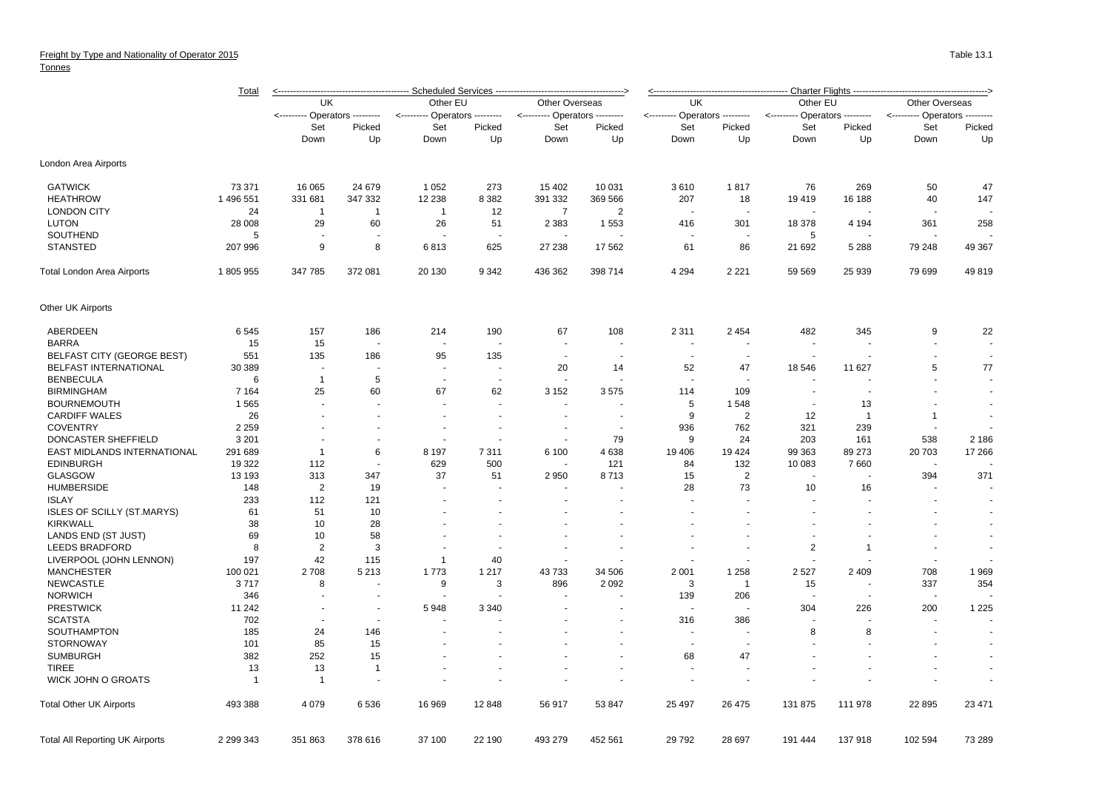Tonnes

|                                        | <b>Total</b>   | <b>Scheduled Services</b>     |                          |                                 |                          |                                     |                          |                               | Charter Flights -------  |                          |                      |                                  |                |  |  |
|----------------------------------------|----------------|-------------------------------|--------------------------|---------------------------------|--------------------------|-------------------------------------|--------------------------|-------------------------------|--------------------------|--------------------------|----------------------|----------------------------------|----------------|--|--|
|                                        |                | UK                            |                          | Other EU                        |                          | Other Overseas                      |                          | UK                            |                          | Other EU                 |                      | Other Overseas                   |                |  |  |
|                                        |                | <-------- Operators --------- |                          | Operators ---------<br><------- |                          | - Operators ---------<br><--------- |                          | <-------- Operators --------- |                          | <---------               | - Operators -------- | <--------- Operators<br>-------- |                |  |  |
|                                        |                | Set                           | Picked                   | Set<br>Down                     | Picked<br>Up             | Set                                 | Picked                   | Set                           | Picked                   | Set<br>Down              | Picked               | Set<br>Down                      | Picked<br>Up   |  |  |
|                                        |                | Down                          | Up                       |                                 |                          | Down                                | Up                       | Down                          | Up                       |                          | Up                   |                                  |                |  |  |
| London Area Airports                   |                |                               |                          |                                 |                          |                                     |                          |                               |                          |                          |                      |                                  |                |  |  |
| <b>GATWICK</b>                         | 73 371         | 16 065                        | 24 679                   | 1 0 5 2                         | 273                      | 15 402                              | 10 031                   | 3610                          | 1817                     | 76                       | 269                  | 50                               | 47             |  |  |
| <b>HEATHROW</b>                        | 1 496 551      | 331 681                       | 347 332                  | 12 238                          | 8 3 8 2                  | 391 332                             | 369 566                  | 207                           | 18                       | 19419                    | 16 188               | 40                               | 147            |  |  |
| <b>LONDON CITY</b>                     | 24             | $\overline{1}$                | $\overline{1}$           | $\overline{1}$                  | 12                       | $\overline{7}$                      | $\overline{2}$           |                               |                          |                          |                      |                                  |                |  |  |
| <b>LUTON</b>                           | 28 008         | 29                            | 60                       | 26                              | 51                       | 2 3 8 3                             | 1553                     | 416                           | 301                      | 18 378                   | 4 1 9 4              | 361                              | 258            |  |  |
| SOUTHEND                               | 5              |                               |                          |                                 |                          |                                     |                          |                               | $\blacksquare$           | 5                        |                      |                                  |                |  |  |
| <b>STANSTED</b>                        | 207 996        | 9                             | 8                        | 6813                            | 625                      | 27 238                              | 17 562                   | 61                            | 86                       | 21 692                   | 5 2 8 8              | 79 248                           | 49 367         |  |  |
| Total London Area Airports             | 1805955        | 347 785                       | 372 081                  | 20 130                          | 9 3 4 2                  | 436 362                             | 398 714                  | 4 2 9 4                       | 2 2 2 1                  | 59 569                   | 25 939               | 79 699                           | 49819          |  |  |
| Other UK Airports                      |                |                               |                          |                                 |                          |                                     |                          |                               |                          |                          |                      |                                  |                |  |  |
| ABERDEEN                               | 6545           | 157                           | 186                      | 214                             | 190                      | 67                                  | 108                      | 2 3 1 1                       | 2 4 5 4                  | 482                      | 345                  | 9                                | 22             |  |  |
| <b>BARRA</b>                           | 15             | 15                            |                          |                                 |                          | $\sim$                              |                          |                               |                          | $\overline{\phantom{a}}$ |                      |                                  |                |  |  |
| BELFAST CITY (GEORGE BEST)             | 551            | 135                           | 186                      | 95                              | 135                      |                                     |                          |                               |                          |                          |                      |                                  |                |  |  |
| <b>BELFAST INTERNATIONAL</b>           | 30 389         |                               | $\sim$                   |                                 | $\sim$                   | 20                                  | 14                       | 52                            | 47                       | 18 546                   | 11 627               | 5                                | 77             |  |  |
| <b>BENBECULA</b>                       | 6              | $\mathbf{1}$                  | 5                        | $\sim$                          | $\overline{\phantom{a}}$ | $\overline{a}$                      |                          |                               |                          |                          |                      |                                  | $\sim$         |  |  |
| <b>BIRMINGHAM</b>                      | 7 1 6 4        | 25                            | 60                       | 67                              | 62                       | 3 1 5 2                             | 3575                     | 114                           | 109                      |                          |                      |                                  |                |  |  |
| <b>BOURNEMOUTH</b>                     | 1 5 6 5        |                               |                          |                                 |                          | $\ddot{\phantom{1}}$                |                          | 5                             | 1548                     | $\overline{\phantom{a}}$ | 13                   |                                  | $\blacksquare$ |  |  |
| <b>CARDIFF WALES</b>                   | 26             |                               |                          |                                 |                          |                                     |                          | 9                             | $\overline{2}$           | 12                       | $\mathbf{1}$         | $\mathbf{1}$                     |                |  |  |
| <b>COVENTRY</b>                        | 2 2 5 9        |                               |                          |                                 |                          |                                     | $\overline{\phantom{a}}$ | 936                           | 762                      | 321                      | 239                  |                                  |                |  |  |
| DONCASTER SHEFFIELD                    | 3 2 0 1        |                               |                          |                                 |                          |                                     | 79                       | 9                             | 24                       | 203                      | 161                  | 538                              | 2 1 8 6        |  |  |
| EAST MIDLANDS INTERNATIONAL            | 291 689        | $\overline{1}$                | 6                        | 8 1 9 7                         | 7311                     | 6 100                               | 4638                     | 19 40 6                       | 19 4 24                  | 99 363                   | 89 273               | 20 703                           | 17 266         |  |  |
| <b>EDINBURGH</b>                       | 19 322         | 112                           | $\sim$                   | 629                             | 500                      | $\overline{a}$                      | 121                      | 84                            | 132                      | 10 083                   | 7660                 |                                  |                |  |  |
| GLASGOW                                | 13 193         | 313                           | 347                      | 37                              | 51                       | 2950                                | 8713                     | 15                            | $\overline{2}$           |                          |                      | 394                              | 371            |  |  |
| <b>HUMBERSIDE</b>                      | 148            | $\overline{2}$                | 19                       |                                 |                          |                                     |                          | 28                            | 73                       | 10                       | 16                   |                                  |                |  |  |
| <b>ISLAY</b>                           | 233            | 112                           | 121                      |                                 |                          |                                     |                          |                               |                          |                          |                      |                                  |                |  |  |
| <b>ISLES OF SCILLY (ST.MARYS)</b>      | 61             | 51                            | 10                       |                                 |                          |                                     |                          |                               |                          |                          |                      |                                  |                |  |  |
| <b>KIRKWALL</b>                        | 38             | 10                            | 28                       |                                 |                          |                                     |                          |                               |                          |                          |                      |                                  |                |  |  |
| LANDS END (ST JUST)                    | 69             | 10                            | 58                       |                                 |                          |                                     |                          |                               |                          |                          |                      |                                  |                |  |  |
| <b>LEEDS BRADFORD</b>                  | 8              | $\overline{2}$                | 3                        |                                 |                          |                                     |                          |                               |                          | $\overline{c}$           | $\mathbf{1}$         |                                  | $\sim$         |  |  |
| LIVERPOOL (JOHN LENNON)                | 197            | 42                            | 115                      | $\mathbf{1}$                    | 40                       |                                     |                          |                               |                          |                          |                      |                                  |                |  |  |
| <b>MANCHESTER</b>                      | 100 021        | 2708                          | 5 2 1 3                  | 1773                            | 1 2 1 7                  | 43733                               | 34 506                   | 2 0 0 1                       | 1 2 5 8                  | 2 5 2 7                  | 2 4 0 9              | 708                              | 1969           |  |  |
| <b>NEWCASTLE</b>                       | 3717           | 8                             |                          | 9                               | 3                        | 896                                 | 2 0 9 2                  | 3                             | $\overline{1}$           | 15                       |                      | 337                              | 354            |  |  |
| <b>NORWICH</b>                         | 346            |                               |                          |                                 |                          |                                     | $\overline{\phantom{a}}$ | 139                           | 206                      |                          |                      |                                  |                |  |  |
| <b>PRESTWICK</b>                       | 11 242         |                               | $\sim$                   | 5948                            | 3 3 4 0                  |                                     |                          |                               | $\blacksquare$           | 304                      | 226                  | 200                              | 1 2 2 5        |  |  |
| <b>SCATSTA</b>                         | 702            |                               |                          |                                 |                          |                                     |                          | 316                           | 386                      |                          |                      |                                  |                |  |  |
| SOUTHAMPTON                            | 185            | 24                            | 146                      |                                 |                          |                                     |                          |                               | $\ddot{\phantom{1}}$     | 8                        | 8                    |                                  |                |  |  |
|                                        |                |                               |                          |                                 |                          |                                     |                          |                               |                          |                          |                      |                                  |                |  |  |
| STORNOWAY                              | 101            | 85                            | 15                       |                                 |                          |                                     |                          |                               | $\overline{\phantom{a}}$ |                          |                      |                                  |                |  |  |
| <b>SUMBURGH</b><br><b>TIREE</b>        | 382            | 252                           | 15                       |                                 |                          |                                     |                          | 68                            | 47                       |                          |                      |                                  |                |  |  |
|                                        | 13             | 13                            | $\overline{1}$           |                                 |                          |                                     |                          |                               |                          |                          |                      |                                  |                |  |  |
| WICK JOHN O GROATS                     | $\overline{1}$ | $\mathbf{1}$                  | $\overline{\phantom{a}}$ |                                 |                          |                                     |                          |                               | $\overline{\phantom{a}}$ |                          |                      |                                  |                |  |  |
| <b>Total Other UK Airports</b>         | 493 388        | 4 0 7 9                       | 6 5 3 6                  | 16 969                          | 12 848                   | 56 917                              | 53 847                   | 25 497                        | 26 475                   | 131 875                  | 111 978              | 22 8 95                          | 23 471         |  |  |
| <b>Total All Reporting UK Airports</b> | 2 2 9 3 4 3    | 351 863                       | 378 616                  | 37 100                          | 22 190                   | 493 279                             | 452 561                  | 29792                         | 28 697                   | 191 444                  | 137918               | 102 594                          | 73 289         |  |  |